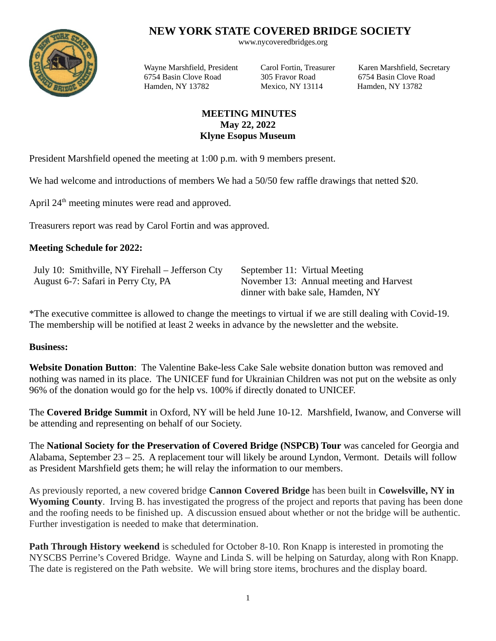## **NEW YORK STATE COVERED BRIDGE SOCIETY** www.nycoveredbridges.org

6754 Basin Clove Road 305 Fravor Road 6754 Basin Clove Road Hamden, NY 13782 Mexico, NY 13114 Hamden, NY 13782

Wayne Marshfield, President Carol Fortin, Treasurer Karen Marshfield, Secretary

## **MEETING MINUTES May 22, 2022 Klyne Esopus Museum**

President Marshfield opened the meeting at 1:00 p.m. with 9 members present.

We had welcome and introductions of members We had a 50/50 few raffle drawings that netted \$20.

April  $24<sup>th</sup>$  meeting minutes were read and approved.

Treasurers report was read by Carol Fortin and was approved.

## **Meeting Schedule for 2022:**

| July 10: Smithville, NY Firehall – Jefferson Cty | September 11: Virtual Meeting           |
|--------------------------------------------------|-----------------------------------------|
| August 6-7: Safari in Perry Cty, PA              | November 13: Annual meeting and Harvest |
|                                                  | dinner with bake sale, Hamden, NY       |

\*The executive committee is allowed to change the meetings to virtual if we are still dealing with Covid-19. The membership will be notified at least 2 weeks in advance by the newsletter and the website.

## **Business:**

**Website Donation Button**: The Valentine Bake-less Cake Sale website donation button was removed and nothing was named in its place. The UNICEF fund for Ukrainian Children was not put on the website as only 96% of the donation would go for the help vs. 100% if directly donated to UNICEF.

The **Covered Bridge Summit** in Oxford, NY will be held June 10-12. Marshfield, Iwanow, and Converse will be attending and representing on behalf of our Society.

The **National Society for the Preservation of Covered Bridge (NSPCB) Tour** was canceled for Georgia and Alabama, September 23 – 25. A replacement tour will likely be around Lyndon, Vermont. Details will follow as President Marshfield gets them; he will relay the information to our members.

As previously reported, a new covered bridge **Cannon Covered Bridge** has been built in **Cowelsville, NY in Wyoming County**. Irving B. has investigated the progress of the project and reports that paving has been done and the roofing needs to be finished up. A discussion ensued about whether or not the bridge will be authentic. Further investigation is needed to make that determination.

**Path Through History weekend** is scheduled for October 8-10. Ron Knapp is interested in promoting the NYSCBS Perrine's Covered Bridge. Wayne and Linda S. will be helping on Saturday, along with Ron Knapp. The date is registered on the Path website. We will bring store items, brochures and the display board.